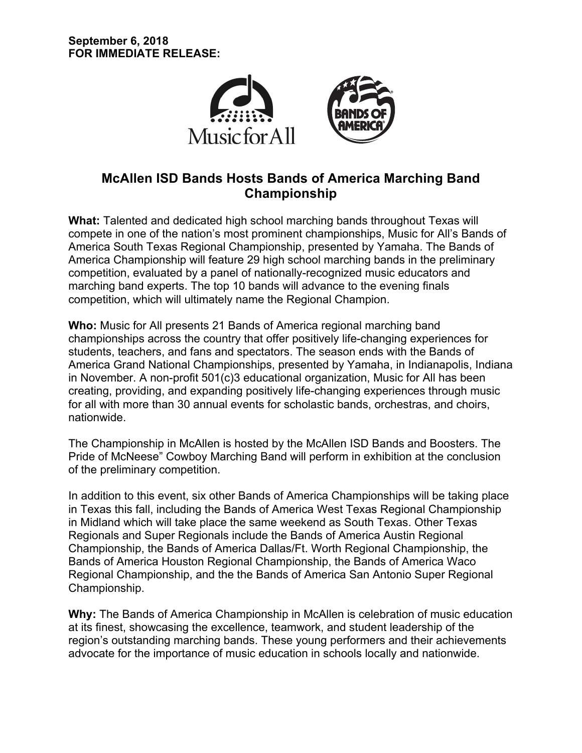

# **McAllen ISD Bands Hosts Bands of America Marching Band Championship**

**What:** Talented and dedicated high school marching bands throughout Texas will compete in one of the nation's most prominent championships, Music for All's Bands of America South Texas Regional Championship, presented by Yamaha. The Bands of America Championship will feature 29 high school marching bands in the preliminary competition, evaluated by a panel of nationally-recognized music educators and marching band experts. The top 10 bands will advance to the evening finals competition, which will ultimately name the Regional Champion.

**Who:** Music for All presents 21 Bands of America regional marching band championships across the country that offer positively life-changing experiences for students, teachers, and fans and spectators. The season ends with the Bands of America Grand National Championships, presented by Yamaha, in Indianapolis, Indiana in November. A non-profit 501(c)3 educational organization, Music for All has been creating, providing, and expanding positively life-changing experiences through music for all with more than 30 annual events for scholastic bands, orchestras, and choirs, nationwide.

The Championship in McAllen is hosted by the McAllen ISD Bands and Boosters. The Pride of McNeese" Cowboy Marching Band will perform in exhibition at the conclusion of the preliminary competition.

In addition to this event, six other Bands of America Championships will be taking place in Texas this fall, including the Bands of America West Texas Regional Championship in Midland which will take place the same weekend as South Texas. Other Texas Regionals and Super Regionals include the Bands of America Austin Regional Championship, the Bands of America Dallas/Ft. Worth Regional Championship, the Bands of America Houston Regional Championship, the Bands of America Waco Regional Championship, and the the Bands of America San Antonio Super Regional Championship.

**Why:** The Bands of America Championship in McAllen is celebration of music education at its finest, showcasing the excellence, teamwork, and student leadership of the region's outstanding marching bands. These young performers and their achievements advocate for the importance of music education in schools locally and nationwide.